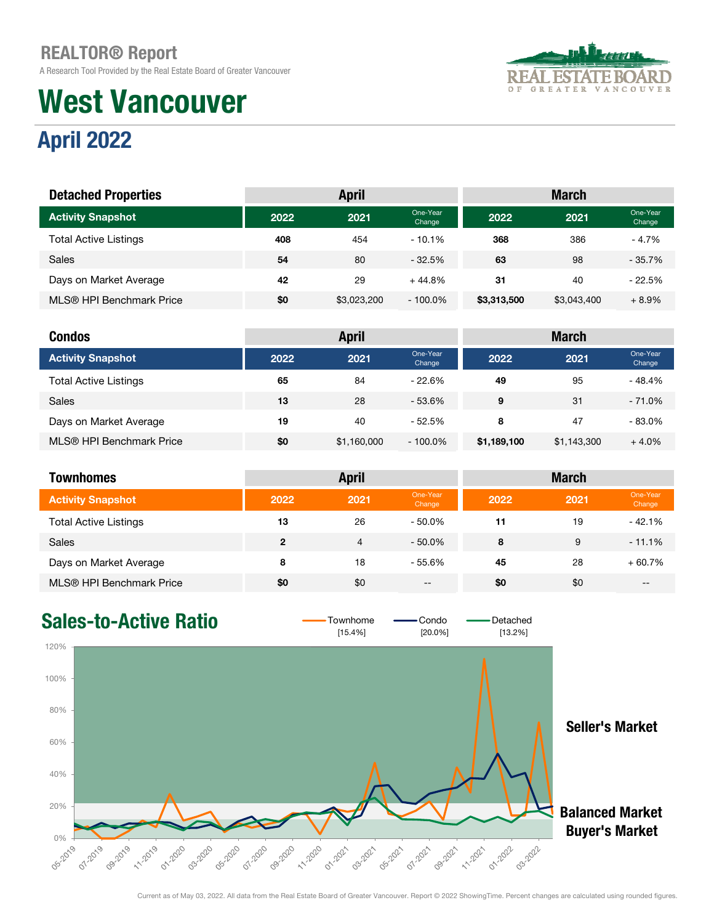A Research Tool Provided by the Real Estate Board of Greater Vancouver

# West Vancouver



## April 2022

| <b>Detached Properties</b>   |      | <b>April</b> |                    | <b>March</b> |             |                    |  |
|------------------------------|------|--------------|--------------------|--------------|-------------|--------------------|--|
| <b>Activity Snapshot</b>     | 2022 | 2021         | One-Year<br>Change | 2022         | 2021        | One-Year<br>Change |  |
| <b>Total Active Listings</b> | 408  | 454          | $-10.1\%$          | 368          | 386         | $-4.7%$            |  |
| Sales                        | 54   | 80           | $-32.5%$           | 63           | 98          | $-35.7%$           |  |
| Days on Market Average       | 42   | 29           | $+44.8%$           | 31           | 40          | $-22.5%$           |  |
| MLS® HPI Benchmark Price     | \$0  | \$3,023,200  | $-100.0\%$         | \$3,313,500  | \$3,043,400 | $+8.9%$            |  |

| <b>Condos</b>                |      | <b>April</b> |                    | <b>March</b> |             |                    |  |
|------------------------------|------|--------------|--------------------|--------------|-------------|--------------------|--|
| <b>Activity Snapshot</b>     | 2022 | 2021         | One-Year<br>Change | 2022         | 2021        | One-Year<br>Change |  |
| <b>Total Active Listings</b> | 65   | 84           | $-22.6%$           | 49           | 95          | - 48.4%            |  |
| <b>Sales</b>                 | 13   | 28           | $-53.6%$           | 9            | 31          | $-71.0%$           |  |
| Days on Market Average       | 19   | 40           | $-52.5%$           | 8            | 47          | $-83.0%$           |  |
| MLS® HPI Benchmark Price     | \$0  | \$1,160,000  | $-100.0\%$         | \$1,189,100  | \$1,143,300 | $+4.0%$            |  |

| <b>Townhomes</b>             |                | <b>April</b> |                    | <b>March</b> |      |                    |  |  |
|------------------------------|----------------|--------------|--------------------|--------------|------|--------------------|--|--|
| <b>Activity Snapshot</b>     | 2022           | 2021         | One-Year<br>Change | 2022         | 2021 | One-Year<br>Change |  |  |
| <b>Total Active Listings</b> | 13             | 26           | $-50.0\%$          | 11           | 19   | $-42.1%$           |  |  |
| Sales                        | $\overline{2}$ | 4            | $-50.0\%$          | 8            | 9    | $-11.1%$           |  |  |
| Days on Market Average       | 8              | 18           | - 55.6%            | 45           | 28   | $+60.7%$           |  |  |
| MLS® HPI Benchmark Price     | \$0            | \$0          | $- -$              | \$0          | \$0  | $- -$              |  |  |

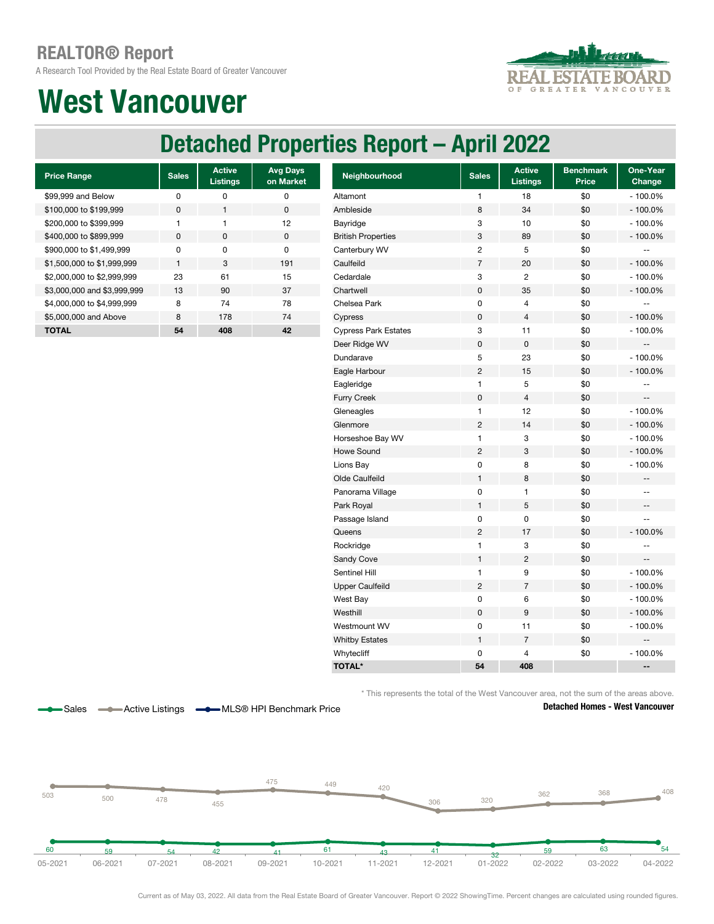A Research Tool Provided by the Real Estate Board of Greater Vancouver



## West Vancouver

## Detached Properties Report – April 2022

| <b>Price Range</b>          | <b>Sales</b> | <b>Active</b><br><b>Listings</b> | <b>Avg Days</b><br>on Market |
|-----------------------------|--------------|----------------------------------|------------------------------|
| \$99,999 and Below          | U            | n                                | ŋ                            |
| \$100,000 to \$199,999      | $\Omega$     |                                  | $\Omega$                     |
| \$200,000 to \$399,999      | 1            | 1                                | 12                           |
| \$400,000 to \$899,999      | <sup>0</sup> | O                                | $\Omega$                     |
| \$900,000 to \$1,499,999    | U            | n                                | O                            |
| \$1,500,000 to \$1,999,999  | 1            | 3                                | 191                          |
| \$2,000,000 to \$2,999,999  | 23           | 61                               | 15                           |
| \$3,000,000 and \$3,999,999 | 13           | 90                               | 37                           |
| \$4,000,000 to \$4,999,999  | 8            | 74                               | 78                           |
| \$5,000,000 and Above       | 8            | 178                              | 74                           |
| <b>TOTAL</b>                | 54           | 408                              | 42                           |

Sales **-Active Listings - MLS® HPI Benchmark Price** 

| <b>Price Range</b>          | <b>Sales</b> | <b>Active</b><br><b>Listings</b> | <b>Avg Days</b><br>on Market | Neighbourhood               | <b>Sales</b>   | Active<br><b>Listings</b> | <b>Benchmark</b><br><b>Price</b> | One-Year<br>Change       |
|-----------------------------|--------------|----------------------------------|------------------------------|-----------------------------|----------------|---------------------------|----------------------------------|--------------------------|
| \$99,999 and Below          | 0            | 0                                | $\pmb{0}$                    | Altamont                    | $\mathbf{1}$   | 18                        | \$0                              | $-100.0%$                |
| \$100,000 to \$199,999      | 0            | $\mathbf{1}$                     | $\pmb{0}$                    | Ambleside                   | 8              | 34                        | \$0                              | $-100.0%$                |
| \$200,000 to \$399,999      | $\mathbf{1}$ | $\mathbf{1}$                     | 12                           | Bayridge                    | 3              | 10                        | \$0                              | $-100.0%$                |
| \$400,000 to \$899,999      | $\pmb{0}$    | 0                                | $\pmb{0}$                    | <b>British Properties</b>   | 3              | 89                        | \$0                              | $-100.0%$                |
| \$900,000 to \$1,499,999    | 0            | 0                                | $\mathbf 0$                  | Canterbury WV               | $\overline{c}$ | 5                         | \$0                              | ۰.                       |
| \$1,500,000 to \$1,999,999  | $\mathbf{1}$ | 3                                | 191                          | Caulfeild                   | $\overline{7}$ | 20                        | \$0                              | $-100.0%$                |
| \$2,000,000 to \$2,999,999  | 23           | 61                               | 15                           | Cedardale                   | 3              | $\overline{c}$            | \$0                              | $-100.0%$                |
| \$3,000,000 and \$3,999,999 | 13           | 90                               | 37                           | Chartwell                   | $\pmb{0}$      | 35                        | \$0                              | $-100.0%$                |
| \$4,000,000 to \$4,999,999  | 8            | 74                               | 78                           | Chelsea Park                | $\pmb{0}$      | 4                         | \$0                              | $\overline{\phantom{a}}$ |
| \$5,000,000 and Above       | 8            | 178                              | 74                           | Cypress                     | $\pmb{0}$      | 4                         | \$0                              | $-100.0%$                |
| <b>TOTAL</b>                | 54           | 408                              | 42                           | <b>Cypress Park Estates</b> | 3              | 11                        | \$0                              | $-100.0%$                |
|                             |              |                                  |                              | Deer Ridge WV               | $\pmb{0}$      | 0                         | \$0                              | --                       |
|                             |              |                                  |                              | Dundarave                   | 5              | 23                        | \$0                              | $-100.0%$                |
|                             |              |                                  |                              | Eagle Harbour               | $\overline{c}$ | 15                        | \$0                              | $-100.0%$                |
|                             |              |                                  |                              | Eagleridge                  | 1              | 5                         | \$0                              | $\overline{\phantom{a}}$ |
|                             |              |                                  |                              | <b>Furry Creek</b>          | $\pmb{0}$      | 4                         | \$0                              | $\overline{\phantom{a}}$ |
|                             |              |                                  |                              | Gleneagles                  | $\mathbf{1}$   | 12                        | \$0                              | $-100.0%$                |
|                             |              |                                  |                              | Glenmore                    | $\overline{2}$ | 14                        | \$0                              | $-100.0%$                |
|                             |              |                                  |                              | Horseshoe Bay WV            | $\mathbf{1}$   | 3                         | \$0                              | $-100.0%$                |
|                             |              |                                  |                              | Howe Sound                  | $\overline{2}$ | 3                         | \$0                              | $-100.0%$                |
|                             |              |                                  |                              | Lions Bay                   | 0              | 8                         | \$0                              | $-100.0%$                |
|                             |              |                                  |                              | Olde Caulfeild              | 1              | 8                         | \$0                              | ÷                        |
|                             |              |                                  |                              | Panorama Village            | $\pmb{0}$      | 1                         | \$0                              | $\overline{\phantom{a}}$ |
|                             |              |                                  |                              | Park Royal                  | 1              | 5                         | \$0                              | ÷                        |
|                             |              |                                  |                              | Passage Island              | $\pmb{0}$      | 0                         | \$0                              | $\overline{\phantom{a}}$ |
|                             |              |                                  |                              | Queens                      | $\overline{c}$ | 17                        | \$0                              | $-100.0%$                |
|                             |              |                                  |                              | Rockridge                   | $\mathbf{1}$   | 3                         | \$0                              | --                       |
|                             |              |                                  |                              | Sandy Cove                  | 1              | $\overline{c}$            | \$0                              | --                       |
|                             |              |                                  |                              | Sentinel Hill               | $\mathbf{1}$   | 9                         | \$0                              | $-100.0%$                |
|                             |              |                                  |                              | <b>Upper Caulfeild</b>      | $\overline{c}$ | $\overline{7}$            | \$0                              | $-100.0%$                |
|                             |              |                                  |                              | West Bay                    | $\pmb{0}$      | 6                         | \$0                              | $-100.0%$                |
|                             |              |                                  |                              | Westhill                    | $\pmb{0}$      | $\boldsymbol{9}$          | \$0                              | $-100.0%$                |
|                             |              |                                  |                              | Westmount WV                | $\mathsf 0$    | 11                        | \$0                              | $-100.0%$                |
|                             |              |                                  |                              | <b>Whitby Estates</b>       | $\mathbf{1}$   | $\overline{7}$            | \$0                              | $\overline{\phantom{a}}$ |
|                             |              |                                  |                              | Whytecliff                  | $\mathbf 0$    | 4                         | \$0                              | $-100.0%$                |
|                             |              |                                  |                              | <b>TOTAL*</b>               | 54             | 408                       |                                  | --                       |

\* This represents the total of the West Vancouver area, not the sum of the areas above.

#### Detached Homes - West Vancouver



Current as of May 03, 2022. All data from the Real Estate Board of Greater Vancouver. Report © 2022 ShowingTime. Percent changes are calculated using rounded figures.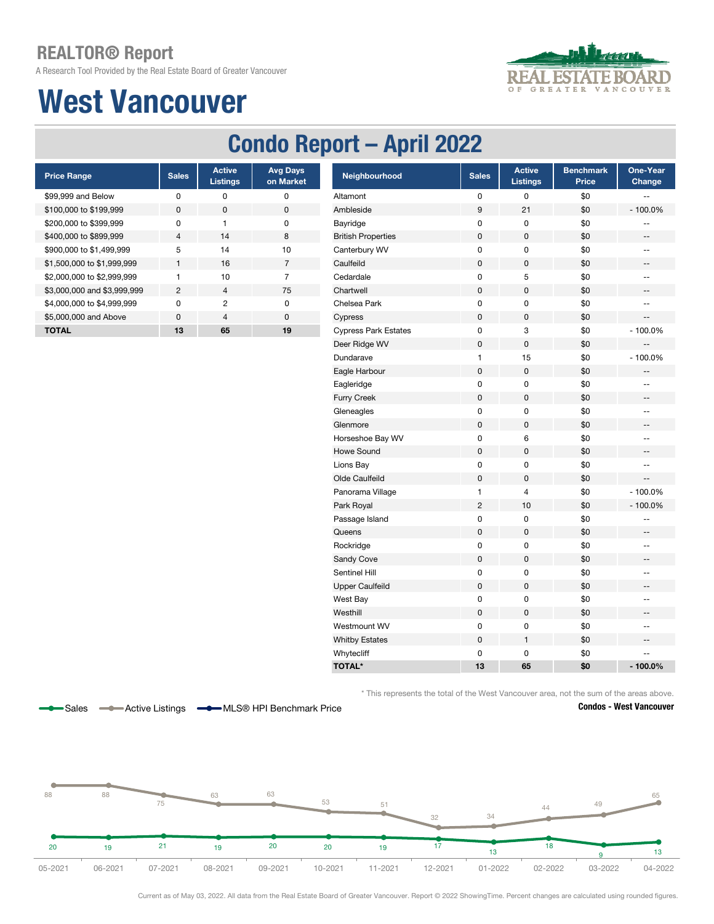A Research Tool Provided by the Real Estate Board of Greater Vancouver

## West Vancouver



### Condo Report – April 2022

| <b>Price Range</b>          | <b>Sales</b>   | <b>Active</b><br><b>Listings</b> | <b>Avg Days</b><br>on Market |
|-----------------------------|----------------|----------------------------------|------------------------------|
| \$99,999 and Below          | ŋ              | ŋ                                | ŋ                            |
| \$100,000 to \$199,999      | <sup>0</sup>   | O                                | 0                            |
| \$200,000 to \$399,999      | n              | 1                                | O                            |
| \$400,000 to \$899,999      | $\overline{4}$ | 14                               | 8                            |
| \$900,000 to \$1,499,999    | 5              | 14                               | 10                           |
| \$1,500,000 to \$1,999,999  | $\mathbf{1}$   | 16                               | 7                            |
| \$2,000,000 to \$2,999,999  |                | 10                               | 7                            |
| \$3,000,000 and \$3,999,999 | 2              | 4                                | 75                           |
| \$4,000,000 to \$4,999,999  | <sup>n</sup>   | 2                                | O                            |
| \$5,000,000 and Above       | $\Omega$       | $\overline{4}$                   | $\Omega$                     |
| <b>TOTAL</b>                | 13             | 65                               | 19                           |

Sales **-Active Listings - MLS® HPI Benchmark Price** 

| <b>Price Range</b>          | <b>Sales</b>   | <b>Active</b><br><b>Listings</b> | <b>Avg Days</b><br>on Market | Neighbourhood               | <b>Sales</b> | <b>Active</b><br><b>Listings</b> | <b>Benchmark</b><br>Price | One-Year<br>Change       |
|-----------------------------|----------------|----------------------------------|------------------------------|-----------------------------|--------------|----------------------------------|---------------------------|--------------------------|
| \$99,999 and Below          | $\pmb{0}$      | 0                                | $\pmb{0}$                    | Altamont                    | 0            | 0                                | \$0                       | ÷-                       |
| \$100,000 to \$199,999      | $\pmb{0}$      | $\pmb{0}$                        | $\pmb{0}$                    | Ambleside                   | 9            | 21                               | \$0                       | $-100.0%$                |
| \$200,000 to \$399,999      | $\pmb{0}$      | $\mathbf{1}$                     | $\pmb{0}$                    | Bayridge                    | $\mathsf 0$  | $\mathsf 0$                      | \$0                       | --                       |
| \$400,000 to \$899,999      | $\overline{4}$ | 14                               | $\bf 8$                      | <b>British Properties</b>   | $\pmb{0}$    | $\mathbf 0$                      | \$0                       | $\qquad \qquad -$        |
| \$900,000 to \$1,499,999    | 5              | 14                               | $10$                         | Canterbury WV               | $\pmb{0}$    | $\pmb{0}$                        | \$0                       | $\qquad \qquad -$        |
| \$1,500,000 to \$1,999,999  | $\mathbf{1}$   | 16                               | $\overline{7}$               | Caulfeild                   | $\pmb{0}$    | $\pmb{0}$                        | \$0                       | --                       |
| \$2,000,000 to \$2,999,999  | $\mathbf{1}$   | 10                               | $\overline{7}$               | Cedardale                   | $\pmb{0}$    | 5                                | \$0                       | $\overline{\phantom{a}}$ |
| \$3,000,000 and \$3,999,999 | $\sqrt{2}$     | $\overline{4}$                   | 75                           | Chartwell                   | $\pmb{0}$    | $\pmb{0}$                        | \$0                       | $\overline{\phantom{a}}$ |
| \$4,000,000 to \$4,999,999  | $\pmb{0}$      | $\overline{2}$                   | $\pmb{0}$                    | Chelsea Park                | $\mathsf 0$  | $\pmb{0}$                        | \$0                       | $\overline{a}$           |
| \$5,000,000 and Above       | $\pmb{0}$      | $\overline{4}$                   | $\pmb{0}$                    | Cypress                     | $\pmb{0}$    | $\mathsf 0$                      | \$0                       | $\overline{a}$           |
| <b>TOTAL</b>                | 13             | 65                               | 19                           | <b>Cypress Park Estates</b> | $\pmb{0}$    | 3                                | \$0                       | $-100.0%$                |
|                             |                |                                  |                              | Deer Ridge WV               | $\pmb{0}$    | $\pmb{0}$                        | \$0                       |                          |
|                             |                |                                  |                              | Dundarave                   | $\mathbf{1}$ | 15                               | \$0                       | $-100.0%$                |
|                             |                |                                  |                              | Eagle Harbour               | $\pmb{0}$    | $\pmb{0}$                        | \$0                       | --                       |
|                             |                |                                  |                              | Eagleridge                  | $\mathsf 0$  | $\pmb{0}$                        | \$0                       | ÷-                       |
|                             |                |                                  |                              | <b>Furry Creek</b>          | $\pmb{0}$    | $\pmb{0}$                        | \$0                       | $\overline{\phantom{a}}$ |
|                             |                |                                  |                              | Gleneagles                  | $\pmb{0}$    | $\pmb{0}$                        | \$0                       | $-$                      |
|                             |                |                                  |                              | Glenmore                    | $\pmb{0}$    | $\pmb{0}$                        | \$0                       | $\overline{\phantom{a}}$ |
|                             |                |                                  |                              | Horseshoe Bay WV            | 0            | 6                                | \$0                       | $-$                      |
|                             |                |                                  |                              | <b>Howe Sound</b>           | $\pmb{0}$    | $\pmb{0}$                        | \$0                       | --                       |
|                             |                |                                  |                              | Lions Bay                   | $\pmb{0}$    | 0                                | \$0                       | $\qquad \qquad -$        |
|                             |                |                                  |                              | Olde Caulfeild              | $\pmb{0}$    | $\mathsf 0$                      | \$0                       | $\overline{a}$           |
|                             |                |                                  |                              | Panorama Village            | $\mathbf{1}$ | $\overline{4}$                   | \$0                       | $-100.0%$                |
|                             |                |                                  |                              | Park Royal                  | $\sqrt{2}$   | 10                               | \$0                       | $-100.0%$                |
|                             |                |                                  |                              | Passage Island              | 0            | $\pmb{0}$                        | \$0                       | --                       |
|                             |                |                                  |                              | Queens                      | $\pmb{0}$    | $\pmb{0}$                        | \$0                       | --                       |
|                             |                |                                  |                              | Rockridge                   | $\pmb{0}$    | 0                                | \$0                       | $\overline{\phantom{a}}$ |
|                             |                |                                  |                              | Sandy Cove                  | $\pmb{0}$    | $\pmb{0}$                        | \$0                       | --                       |
|                             |                |                                  |                              | Sentinel Hill               | $\pmb{0}$    | 0                                | \$0                       | $\mathbf{u}$             |
|                             |                |                                  |                              | <b>Upper Caulfeild</b>      | $\pmb{0}$    | $\pmb{0}$                        | \$0                       | --                       |
|                             |                |                                  |                              | West Bay                    | $\pmb{0}$    | 0                                | \$0                       | $-$                      |
|                             |                |                                  |                              | Westhill                    | $\pmb{0}$    | $\pmb{0}$                        | \$0                       | --                       |
|                             |                |                                  |                              | Westmount WV                | $\pmb{0}$    | 0                                | \$0                       | $-$                      |
|                             |                |                                  |                              | <b>Whitby Estates</b>       | $\pmb{0}$    | $\mathbf{1}$                     | \$0                       | $-$                      |
|                             |                |                                  |                              | Whytecliff                  | $\pmb{0}$    | 0                                | \$0                       | $-$                      |
|                             |                |                                  |                              | <b>TOTAL*</b>               | 13           | 65                               | \$0                       | $-100.0%$                |

\* This represents the total of the West Vancouver area, not the sum of the areas above.





Current as of May 03, 2022. All data from the Real Estate Board of Greater Vancouver. Report © 2022 ShowingTime. Percent changes are calculated using rounded figures.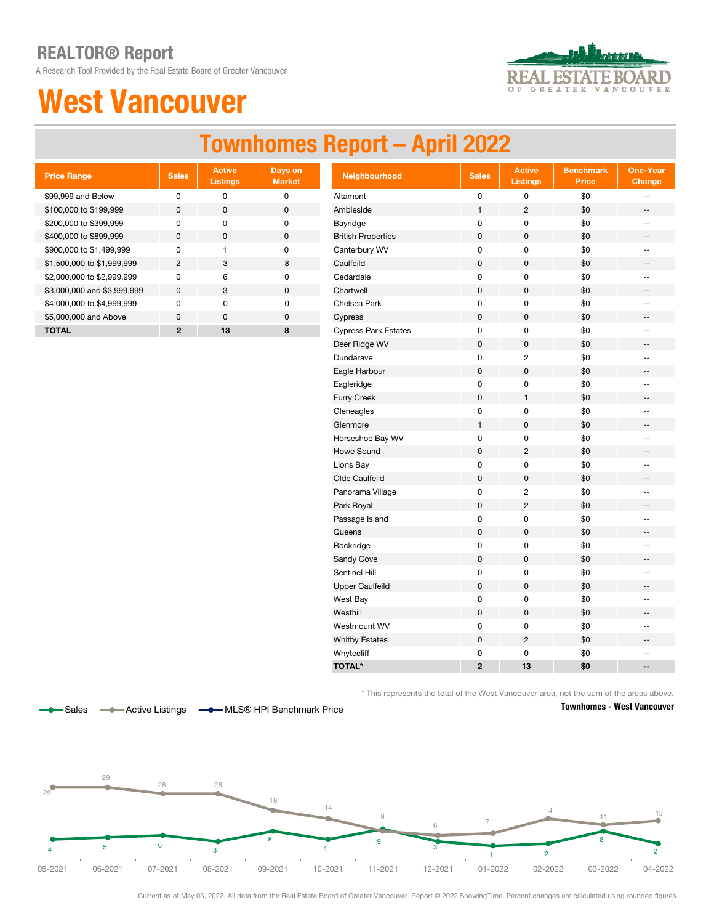A Research Tool Provided by the Real Estate Board of Greater Vancouver

## West Vancouver



## Townhomes Report – April 2022

| <b>Price Range</b>          | <b>Sales</b> | <b>Active</b><br><b>Listings</b> | Days on<br><b>Market</b> |
|-----------------------------|--------------|----------------------------------|--------------------------|
| \$99,999 and Below          | U            | ŋ                                | ŋ                        |
| \$100,000 to \$199,999      | <sup>0</sup> | O                                | $\Omega$                 |
| \$200,000 to \$399,999      | U            | n                                | ŋ                        |
| \$400,000 to \$899,999      | $\Omega$     | O                                | $\Omega$                 |
| \$900,000 to \$1,499,999    | U            |                                  | $\Omega$                 |
| \$1,500,000 to \$1,999,999  | 2            | 3                                | 8                        |
| \$2,000,000 to \$2,999,999  | <sup>n</sup> | 6                                | O                        |
| \$3,000,000 and \$3,999,999 | <sup>0</sup> | 3                                | $\Omega$                 |
| \$4,000,000 to \$4,999,999  | <sup>n</sup> | O                                | <sup>n</sup>             |
| \$5,000,000 and Above       | <sup>0</sup> | $\Omega$                         | $\Omega$                 |
| TOTAL                       | 2            | 13                               | 8                        |

| <b>Price Range</b>          | <b>Sales</b>   | <b>Active</b><br><b>Listings</b> | Days on<br><b>Market</b> | Neighbourhood               | <b>Sales</b>   | <b>Active</b><br><b>Listings</b> | <b>Benchmark</b><br><b>Price</b> | <b>One-Year</b><br>Change |
|-----------------------------|----------------|----------------------------------|--------------------------|-----------------------------|----------------|----------------------------------|----------------------------------|---------------------------|
| \$99,999 and Below          | $\pmb{0}$      | $\mathsf 0$                      | $\pmb{0}$                | Altamont                    | $\pmb{0}$      | 0                                | \$0                              | $\overline{\phantom{a}}$  |
| \$100,000 to \$199,999      | $\mathsf 0$    | $\mathbf 0$                      | $\pmb{0}$                | Ambleside                   | $\mathbf{1}$   | $\overline{c}$                   | \$0                              | $\overline{\phantom{a}}$  |
| \$200,000 to \$399,999      | 0              | 0                                | $\pmb{0}$                | Bayridge                    | $\pmb{0}$      | 0                                | \$0                              | $\overline{\phantom{a}}$  |
| \$400,000 to \$899,999      | $\pmb{0}$      | $\mathbf 0$                      | $\pmb{0}$                | <b>British Properties</b>   | $\mathbf 0$    | 0                                | \$0                              | $\overline{\phantom{a}}$  |
| \$900,000 to \$1,499,999    | 0              | $\mathbf{1}$                     | $\pmb{0}$                | Canterbury WV               | $\pmb{0}$      | 0                                | \$0                              | $\overline{\phantom{a}}$  |
| \$1,500,000 to \$1,999,999  | $\overline{2}$ | 3                                | 8                        | Caulfeild                   | $\pmb{0}$      | 0                                | \$0                              | $\overline{\phantom{a}}$  |
| \$2,000,000 to \$2,999,999  | $\pmb{0}$      | 6                                | $\mathbf 0$              | Cedardale                   | 0              | 0                                | \$0                              | $\overline{\phantom{a}}$  |
| \$3,000,000 and \$3,999,999 | $\mathsf 0$    | 3                                | $\pmb{0}$                | Chartwell                   | $\pmb{0}$      | $\mathsf 0$                      | \$0                              | $\overline{\phantom{a}}$  |
| \$4,000,000 to \$4,999,999  | $\pmb{0}$      | $\pmb{0}$                        | $\pmb{0}$                | Chelsea Park                | $\pmb{0}$      | 0                                | \$0                              | $\overline{\phantom{a}}$  |
| \$5,000,000 and Above       | $\pmb{0}$      | $\pmb{0}$                        | $\pmb{0}$                | Cypress                     | $\pmb{0}$      | $\mathsf 0$                      | \$0                              | --                        |
| <b>TOTAL</b>                | $\mathbf{2}$   | 13                               | 8                        | <b>Cypress Park Estates</b> | $\pmb{0}$      | 0                                | \$0                              | $\overline{\phantom{a}}$  |
|                             |                |                                  |                          | Deer Ridge WV               | $\pmb{0}$      | 0                                | \$0                              | $\overline{\phantom{a}}$  |
|                             |                |                                  |                          | Dundarave                   | $\pmb{0}$      | $\overline{c}$                   | \$0                              | $\overline{\phantom{a}}$  |
|                             |                |                                  |                          | Eagle Harbour               | $\pmb{0}$      | $\mathsf 0$                      | \$0                              | $\overline{\phantom{a}}$  |
|                             |                |                                  |                          | Eagleridge                  | $\pmb{0}$      | 0                                | \$0                              | $\overline{\phantom{a}}$  |
|                             |                |                                  |                          | Furry Creek                 | $\pmb{0}$      | $\mathbf{1}$                     | \$0                              | $\overline{\phantom{a}}$  |
|                             |                |                                  |                          | Gleneagles                  | $\pmb{0}$      | 0                                | \$0                              | $\qquad \qquad -$         |
|                             |                |                                  |                          | Glenmore                    | $\mathbf{1}$   | $\mathbf 0$                      | \$0                              | $\overline{\phantom{a}}$  |
|                             |                |                                  |                          | Horseshoe Bay WV            | $\pmb{0}$      | $\mathsf 0$                      | \$0                              | Ξ.                        |
|                             |                |                                  |                          | <b>Howe Sound</b>           | $\mathbf 0$    | $\overline{c}$                   | \$0                              | $\overline{\phantom{a}}$  |
|                             |                |                                  |                          | Lions Bay                   | $\pmb{0}$      | $\mathsf 0$                      | \$0                              | $\overline{a}$            |
|                             |                |                                  |                          | Olde Caulfeild              | $\mathbf 0$    | $\mathsf{O}\xspace$              | \$0                              | $-\, -$                   |
|                             |                |                                  |                          | Panorama Village            | $\pmb{0}$      | 2                                | \$0                              | $\overline{\phantom{a}}$  |
|                             |                |                                  |                          | Park Royal                  | $\mathbf 0$    | $\overline{2}$                   | \$0                              | $\overline{\phantom{a}}$  |
|                             |                |                                  |                          | Passage Island              | $\pmb{0}$      | 0                                | \$0                              | $\overline{\phantom{a}}$  |
|                             |                |                                  |                          | Queens                      | $\mathbf 0$    | 0                                | \$0                              | $\overline{\phantom{a}}$  |
|                             |                |                                  |                          | Rockridge                   | $\pmb{0}$      | 0                                | \$0                              | $\overline{\phantom{a}}$  |
|                             |                |                                  |                          | Sandy Cove                  | $\pmb{0}$      | 0                                | \$0                              | --                        |
|                             |                |                                  |                          | Sentinel Hill               | 0              | 0                                | \$0                              | $\overline{\phantom{a}}$  |
|                             |                |                                  |                          | <b>Upper Caulfeild</b>      | $\pmb{0}$      | $\mathsf{O}\xspace$              | \$0                              | $\overline{\phantom{a}}$  |
|                             |                |                                  |                          | West Bay                    | 0              | 0                                | \$0                              | $\mathbf{u}$              |
|                             |                |                                  |                          | Westhill                    | $\pmb{0}$      | $\mathsf 0$                      | \$0                              | $\overline{\phantom{a}}$  |
|                             |                |                                  |                          | Westmount WV                | 0              | 0                                | \$0                              | $\overline{\phantom{a}}$  |
|                             |                |                                  |                          | <b>Whitby Estates</b>       | $\pmb{0}$      | $\overline{c}$                   | \$0                              | $\overline{\phantom{m}}$  |
|                             |                |                                  |                          | Whytecliff                  | $\pmb{0}$      | 0                                | \$0                              | $\overline{\phantom{a}}$  |
|                             |                |                                  |                          | <b>TOTAL*</b>               | $\overline{2}$ | 13                               | \$0                              | $\overline{\phantom{a}}$  |

\* This represents the total of the West Vancouver area, not the sum of the areas above.



Sales **-Active Listings --**MLS® HPI Benchmark Price

Townhomes - West Vancouver



Current as of May 03, 2022. All data from the Real Estate Board of Greater Vancouver. Report © 2022 ShowingTime. Percent changes are calculated using rounded figures.